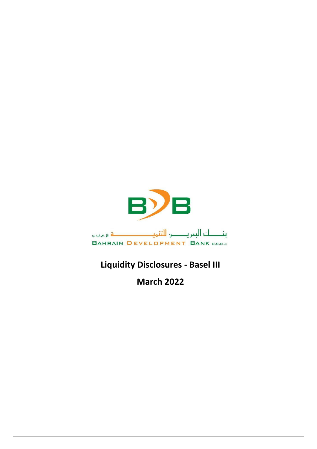

## **Liquidity Disclosures - Basel III**

**March 2022**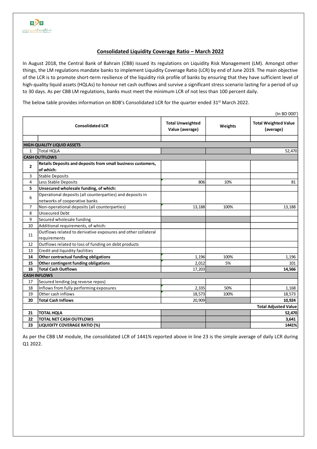## **Consolidated Liquidity Coverage Ratio – March 2022**

In August 2018, the Central Bank of Bahrain (CBB) issued its regulations on Liquidity Risk Management (LM). Amongst other things, the LM regulations mandate banks to implement Liquidity Coverage Ratio (LCR) by end of June 2019. The main objective of the LCR is to promote short-term resilience of the liquidity risk profile of banks by ensuring that they have sufficient level of high-quality liquid assets (HQLAs) to honour net cash outflows and survive a significant stress scenario lasting for a period of up to 30 days. As per CBB LM regulations, banks must meet the minimum LCR of not less than 100 percent daily.

The below table provides information on BDB's Consolidated LCR for the quarter ended 31<sup>st</sup> March 2022.

|                             | (In BD 000')                                                                               |                                            |         |                                          |  |  |  |  |  |
|-----------------------------|--------------------------------------------------------------------------------------------|--------------------------------------------|---------|------------------------------------------|--|--|--|--|--|
| <b>Consolidated LCR</b>     |                                                                                            | <b>Total Unweighted</b><br>Value (average) | Weights | <b>Total Weighted Value</b><br>(average) |  |  |  |  |  |
|                             |                                                                                            |                                            |         |                                          |  |  |  |  |  |
|                             | <b>HIGH-QUALITY LIQUID ASSETS</b>                                                          |                                            |         |                                          |  |  |  |  |  |
| $\mathbf{1}$                | <b>Total HQLA</b>                                                                          |                                            |         | 52,470                                   |  |  |  |  |  |
| <b>CASH OUTFLOWS</b>        |                                                                                            |                                            |         |                                          |  |  |  |  |  |
| $\overline{2}$              | Retails Deposits and deposits from small business customers,<br>of which:                  |                                            |         |                                          |  |  |  |  |  |
| 3                           | Stable Deposits                                                                            |                                            |         |                                          |  |  |  |  |  |
| 4                           | Less Stable Deposits                                                                       | 806                                        | 10%     | 81                                       |  |  |  |  |  |
| 5                           | Unsecured wholesale funding, of which:                                                     |                                            |         |                                          |  |  |  |  |  |
| 6                           | Operational deposits (all counterparties) and deposits in<br>networks of cooperative banks |                                            |         |                                          |  |  |  |  |  |
| 7                           | Non-operational deposits (all counterparties)                                              | 13,188                                     | 100%    | 13,188                                   |  |  |  |  |  |
| 8                           | <b>Unsecured Debt</b>                                                                      |                                            |         |                                          |  |  |  |  |  |
| 9                           | Secured wholesale funding                                                                  |                                            |         |                                          |  |  |  |  |  |
| 10                          | Additional requirements, of which:                                                         |                                            |         |                                          |  |  |  |  |  |
| 11                          | Outflows related to derivative exposures and other collateral<br>requirements              |                                            |         |                                          |  |  |  |  |  |
| 12                          | Outflows related to loss of funding on debt products                                       |                                            |         |                                          |  |  |  |  |  |
| 13                          | Credit and liquidity facilities                                                            |                                            |         |                                          |  |  |  |  |  |
| 14                          | Other contractual funding obligations                                                      | 1,196                                      | 100%    | 1,196                                    |  |  |  |  |  |
| 15                          | Other contingent funding obligations                                                       | 2,012                                      | 5%      | 101                                      |  |  |  |  |  |
| 16                          | <b>Total Cash Outflows</b>                                                                 | 17,203                                     |         | 14,566                                   |  |  |  |  |  |
|                             | <b>CASH INFLOWS</b>                                                                        |                                            |         |                                          |  |  |  |  |  |
| 17                          | Secured lending (eg reverse repos)                                                         |                                            |         |                                          |  |  |  |  |  |
| 18                          | Inflows from fully performing exposures                                                    | 2,335                                      | 50%     | 1,168                                    |  |  |  |  |  |
| 19                          | Other cash inflows                                                                         | 18,573                                     | 100%    | 18,573                                   |  |  |  |  |  |
| 20                          | <b>Total Cash Inflows</b>                                                                  | 20,909                                     |         | 10,924                                   |  |  |  |  |  |
| <b>Total Adjusted Value</b> |                                                                                            |                                            |         |                                          |  |  |  |  |  |
| 21                          | <b>TOTAL HQLA</b>                                                                          |                                            |         | 52,470                                   |  |  |  |  |  |
| 22                          | <b>TOTAL NET CASH OUTFLOWS</b>                                                             |                                            |         | 3,641                                    |  |  |  |  |  |
| 23                          | <b>LIQUIDITY COVERAGE RATIO (%)</b>                                                        |                                            |         | 1441%                                    |  |  |  |  |  |

As per the CBB LM module, the consolidated LCR of 1441% reported above in line 23 is the simple average of daily LCR during Q1 2022.